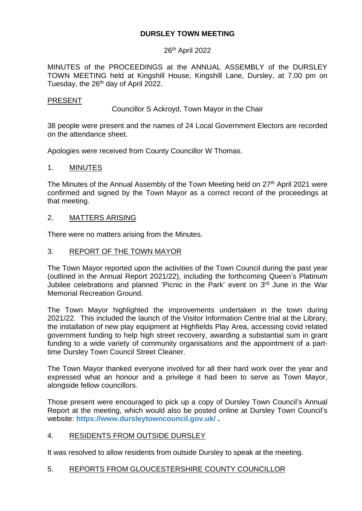# **DURSLEY TOWN MEETING**

# 26<sup>th</sup> April 2022

MINUTES of the PROCEEDINGS at the ANNUAL ASSEMBLY of the DURSLEY TOWN MEETING held at Kingshill House, Kingshill Lane, Dursley, at 7.00 pm on Tuesday, the 26<sup>th</sup> day of April 2022.

#### PRESENT

Councillor S Ackroyd, Town Mayor in the Chair

38 people were present and the names of 24 Local Government Electors are recorded on the attendance sheet.

Apologies were received from County Councillor W Thomas.

#### 1. MINUTES

The Minutes of the Annual Assembly of the Town Meeting held on 27<sup>th</sup> April 2021 were confirmed and signed by the Town Mayor as a correct record of the proceedings at that meeting.

#### 2. MATTERS ARISING

There were no matters arising from the Minutes.

#### 3. REPORT OF THE TOWN MAYOR

The Town Mayor reported upon the activities of the Town Council during the past year (outlined in the Annual Report 2021/22), including the forthcoming Queen's Platinum Jubilee celebrations and planned 'Picnic in the Park' event on 3<sup>rd</sup> June in the War Memorial Recreation Ground.

The Town Mayor highlighted the improvements undertaken in the town during 2021/22. This included the launch of the Visitor Information Centre trial at the Library, the installation of new play equipment at Highfields Play Area, accessing covid related government funding to help high street recovery, awarding a substantial sum in grant funding to a wide variety of community organisations and the appointment of a parttime Dursley Town Council Street Cleaner.

The Town Mayor thanked everyone involved for all their hard work over the year and expressed what an honour and a privilege it had been to serve as Town Mayor, alongside fellow councillors.

Those present were encouraged to pick up a copy of Dursley Town Council's Annual Report at the meeting, which would also be posted online at Dursley Town Council's website: **<https://www.dursleytowncouncil.gov.uk/> .**

### 4. RESIDENTS FROM OUTSIDE DURSLEY

It was resolved to allow residents from outside Dursley to speak at the meeting.

### 5. REPORTS FROM GLOUCESTERSHIRE COUNTY COUNCILLOR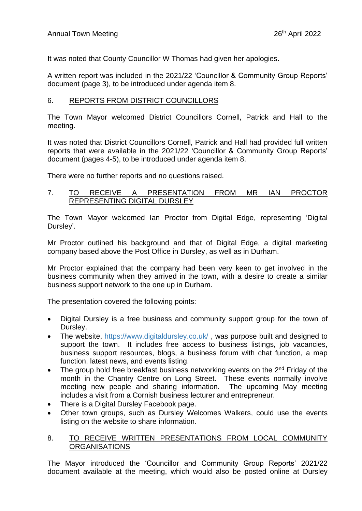It was noted that County Councillor W Thomas had given her apologies.

A written report was included in the 2021/22 'Councillor & Community Group Reports' document (page 3), to be introduced under agenda item 8.

# 6. REPORTS FROM DISTRICT COUNCILLORS

The Town Mayor welcomed District Councillors Cornell, Patrick and Hall to the meeting.

It was noted that District Councillors Cornell, Patrick and Hall had provided full written reports that were available in the 2021/22 'Councillor & Community Group Reports' document (pages 4-5), to be introduced under agenda item 8.

There were no further reports and no questions raised.

### 7. TO RECEIVE A PRESENTATION FROM MR IAN PROCTOR REPRESENTING DIGITAL DURSLEY

The Town Mayor welcomed Ian Proctor from Digital Edge, representing 'Digital Dursley'.

Mr Proctor outlined his background and that of Digital Edge, a digital marketing company based above the Post Office in Dursley, as well as in Durham.

Mr Proctor explained that the company had been very keen to get involved in the business community when they arrived in the town, with a desire to create a similar business support network to the one up in Durham.

The presentation covered the following points:

- Digital Dursley is a free business and community support group for the town of Dursley.
- The website,<https://www.digitaldursley.co.uk/> , was purpose built and designed to support the town. It includes free access to business listings, job vacancies, business support resources, blogs, a business forum with chat function, a map function, latest news, and events listing.
- The group hold free breakfast business networking events on the  $2<sup>nd</sup>$  Friday of the month in the Chantry Centre on Long Street. These events normally involve meeting new people and sharing information. The upcoming May meeting includes a visit from a Cornish business lecturer and entrepreneur.
- There is a Digital Dursley Facebook page.
- Other town groups, such as Dursley Welcomes Walkers, could use the events listing on the website to share information.

# 8. TO RECEIVE WRITTEN PRESENTATIONS FROM LOCAL COMMUNITY ORGANISATIONS

The Mayor introduced the 'Councillor and Community Group Reports' 2021/22 document available at the meeting, which would also be posted online at Dursley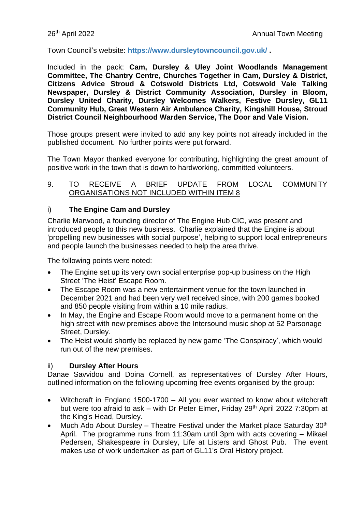Town Council's website: **<https://www.dursleytowncouncil.gov.uk/> .**

Included in the pack: **Cam, Dursley & Uley Joint Woodlands Management Committee, The Chantry Centre, Churches Together in Cam, Dursley & District, Citizens Advice Stroud & Cotswold Districts Ltd, Cotswold Vale Talking Newspaper, Dursley & District Community Association, Dursley in Bloom, Dursley United Charity, Dursley Welcomes Walkers, Festive Dursley, GL11 Community Hub, Great Western Air Ambulance Charity, Kingshill House, Stroud District Council Neighbourhood Warden Service, The Door and Vale Vision.**

Those groups present were invited to add any key points not already included in the published document. No further points were put forward.

The Town Mayor thanked everyone for contributing, highlighting the great amount of positive work in the town that is down to hardworking, committed volunteers.

#### 9. TO RECEIVE A BRIEF UPDATE FROM LOCAL COMMUNITY ORGANISATIONS NOT INCLUDED WITHIN ITEM 8

# i) **The Engine Cam and Dursley**

Charlie Marwood, a founding director of The Engine Hub CIC, was present and introduced people to this new business. Charlie explained that the Engine is about 'propelling new businesses with social purpose', helping to support local entrepreneurs and people launch the businesses needed to help the area thrive.

The following points were noted:

- The Engine set up its very own social enterprise pop-up business on the High Street 'The Heist' Escape Room.
- The Escape Room was a new entertainment venue for the town launched in December 2021 and had been very well received since, with 200 games booked and 850 people visiting from within a 10 mile radius.
- In May, the Engine and Escape Room would move to a permanent home on the high street with new premises above the Intersound music shop at 52 Parsonage Street, Dursley.
- The Heist would shortly be replaced by new game 'The Conspiracy', which would run out of the new premises.

# ii) **Dursley After Hours**

Danae Savvidou and Doina Cornell, as representatives of Dursley After Hours, outlined information on the following upcoming free events organised by the group:

- Witchcraft in England 1500-1700 All you ever wanted to know about witchcraft but were too afraid to ask – with Dr Peter Elmer, Friday 29<sup>th</sup> April 2022 7:30pm at the King's Head, Dursley.
- Much Ado About Dursley Theatre Festival under the Market place Saturday  $30<sup>th</sup>$ April. The programme runs from 11:30am until 3pm with acts covering – Mikael Pedersen, Shakespeare in Dursley, Life at Listers and Ghost Pub. The event makes use of work undertaken as part of GL11's Oral History project.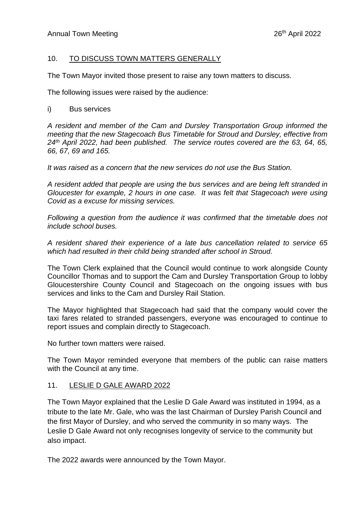# 10. TO DISCUSS TOWN MATTERS GENERALLY

The Town Mayor invited those present to raise any town matters to discuss.

The following issues were raised by the audience:

#### i) Bus services

*A resident and member of the Cam and Dursley Transportation Group informed the meeting that the new Stagecoach Bus Timetable for Stroud and Dursley, effective from 24th April 2022, had been published. The service routes covered are the 63, 64, 65, 66, 67, 69 and 165.* 

*It was raised as a concern that the new services do not use the Bus Station.*

*A resident added that people are using the bus services and are being left stranded in Gloucester for example, 2 hours in one case. It was felt that Stagecoach were using Covid as a excuse for missing services.*

*Following a question from the audience it was confirmed that the timetable does not include school buses.*

*A resident shared their experience of a late bus cancellation related to service 65 which had resulted in their child being stranded after school in Stroud.*

The Town Clerk explained that the Council would continue to work alongside County Councillor Thomas and to support the Cam and Dursley Transportation Group to lobby Gloucestershire County Council and Stagecoach on the ongoing issues with bus services and links to the Cam and Dursley Rail Station.

The Mayor highlighted that Stagecoach had said that the company would cover the taxi fares related to stranded passengers, everyone was encouraged to continue to report issues and complain directly to Stagecoach.

No further town matters were raised.

The Town Mayor reminded everyone that members of the public can raise matters with the Council at any time.

### 11. LESLIE D GALE AWARD 2022

The Town Mayor explained that the Leslie D Gale Award was instituted in 1994, as a tribute to the late Mr. Gale, who was the last Chairman of Dursley Parish Council and the first Mayor of Dursley, and who served the community in so many ways. The Leslie D Gale Award not only recognises longevity of service to the community but also impact.

The 2022 awards were announced by the Town Mayor.